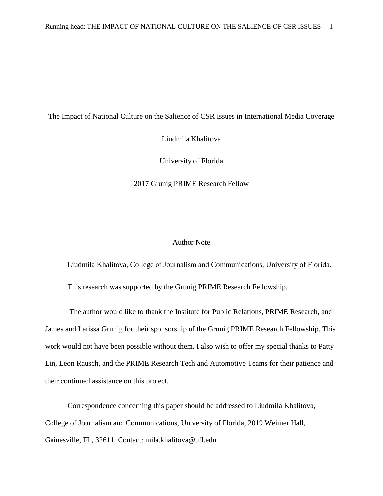#### The Impact of National Culture on the Salience of CSR Issues in International Media Coverage

Liudmila Khalitova

University of Florida

2017 Grunig PRIME Research Fellow

## Author Note

Liudmila Khalitova, College of Journalism and Communications, University of Florida.

This research was supported by the Grunig PRIME Research Fellowship.

The author would like to thank the Institute for Public Relations, PRIME Research, and James and Larissa Grunig for their sponsorship of the Grunig PRIME Research Fellowship. This work would not have been possible without them. I also wish to offer my special thanks to Patty Lin, Leon Rausch, and the PRIME Research Tech and Automotive Teams for their patience and their continued assistance on this project.

Correspondence concerning this paper should be addressed to Liudmila Khalitova, College of Journalism and Communications, University of Florida, 2019 Weimer Hall, Gainesville, FL, 32611. Contact: mila.khalitova@ufl.edu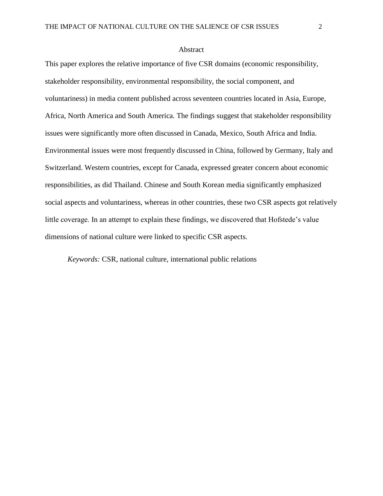#### **Abstract**

This paper explores the relative importance of five CSR domains (economic responsibility, stakeholder responsibility, environmental responsibility, the social component, and voluntariness) in media content published across seventeen countries located in Asia, Europe, Africa, North America and South America. The findings suggest that stakeholder responsibility issues were significantly more often discussed in Canada, Mexico, South Africa and India. Environmental issues were most frequently discussed in China, followed by Germany, Italy and Switzerland. Western countries, except for Canada, expressed greater concern about economic responsibilities, as did Thailand. Chinese and South Korean media significantly emphasized social aspects and voluntariness, whereas in other countries, these two CSR aspects got relatively little coverage. In an attempt to explain these findings, we discovered that Hofstede's value dimensions of national culture were linked to specific CSR aspects.

*Keywords:* CSR, national culture, international public relations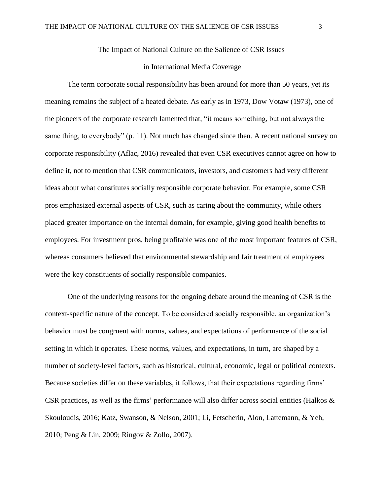The Impact of National Culture on the Salience of CSR Issues

#### in International Media Coverage

The term corporate social responsibility has been around for more than 50 years, yet its meaning remains the subject of a heated debate. As early as in 1973, Dow Votaw (1973), one of the pioneers of the corporate research lamented that, "it means something, but not always the same thing, to everybody" (p. 11). Not much has changed since then. A recent national survey on corporate responsibility (Aflac, 2016) revealed that even CSR executives cannot agree on how to define it, not to mention that CSR communicators, investors, and customers had very different ideas about what constitutes socially responsible corporate behavior. For example, some CSR pros emphasized external aspects of CSR, such as caring about the community, while others placed greater importance on the internal domain, for example, giving good health benefits to employees. For investment pros, being profitable was one of the most important features of CSR, whereas consumers believed that environmental stewardship and fair treatment of employees were the key constituents of socially responsible companies.

One of the underlying reasons for the ongoing debate around the meaning of CSR is the context-specific nature of the concept. To be considered socially responsible, an organization's behavior must be congruent with norms, values, and expectations of performance of the social setting in which it operates. These norms, values, and expectations, in turn, are shaped by a number of society-level factors, such as historical, cultural, economic, legal or political contexts. Because societies differ on these variables, it follows, that their expectations regarding firms' CSR practices, as well as the firms' performance will also differ across social entities (Halkos & Skouloudis, 2016; Katz, Swanson, & Nelson, 2001; Li, Fetscherin, Alon, Lattemann, & Yeh, 2010; Peng & Lin, 2009; Ringov & Zollo, 2007).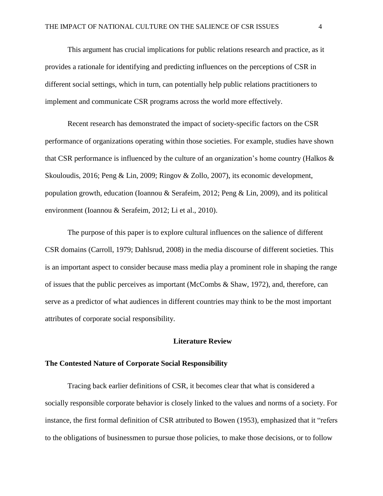This argument has crucial implications for public relations research and practice, as it provides a rationale for identifying and predicting influences on the perceptions of CSR in different social settings, which in turn, can potentially help public relations practitioners to implement and communicate CSR programs across the world more effectively.

Recent research has demonstrated the impact of society-specific factors on the CSR performance of organizations operating within those societies. For example, studies have shown that CSR performance is influenced by the culture of an organization's home country (Halkos & Skouloudis, 2016; Peng & Lin, 2009; Ringov & Zollo, 2007), its economic development, population growth, education (Ioannou & Serafeim, 2012; Peng & Lin, 2009), and its political environment (Ioannou & Serafeim, 2012; Li et al., 2010).

The purpose of this paper is to explore cultural influences on the salience of different CSR domains (Carroll, 1979; Dahlsrud, 2008) in the media discourse of different societies. This is an important aspect to consider because mass media play a prominent role in shaping the range of issues that the public perceives as important (McCombs & Shaw, 1972), and, therefore, can serve as a predictor of what audiences in different countries may think to be the most important attributes of corporate social responsibility.

## **Literature Review**

#### **The Contested Nature of Corporate Social Responsibility**

Tracing back earlier definitions of CSR, it becomes clear that what is considered a socially responsible corporate behavior is closely linked to the values and norms of a society. For instance, the first formal definition of CSR attributed to Bowen (1953), emphasized that it "refers to the obligations of businessmen to pursue those policies, to make those decisions, or to follow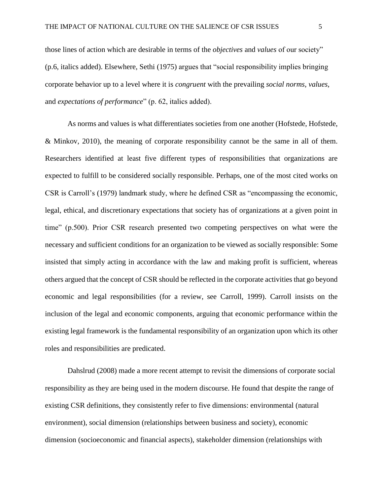those lines of action which are desirable in terms of the *objectives* and *values* of our society" (p.6, italics added). Elsewhere, Sethi (1975) argues that "social responsibility implies bringing corporate behavior up to a level where it is *congruent* with the prevailing *social norms*, *values*, and *expectations of performance*" (p. 62, italics added).

As norms and values is what differentiates societies from one another (Hofstede, Hofstede, & Minkov, 2010), the meaning of corporate responsibility cannot be the same in all of them. Researchers identified at least five different types of responsibilities that organizations are expected to fulfill to be considered socially responsible. Perhaps, one of the most cited works on CSR is Carroll's (1979) landmark study, where he defined CSR as "encompassing the economic, legal, ethical, and discretionary expectations that society has of organizations at a given point in time" (p.500). Prior CSR research presented two competing perspectives on what were the necessary and sufficient conditions for an organization to be viewed as socially responsible: Some insisted that simply acting in accordance with the law and making profit is sufficient, whereas others argued that the concept of CSR should be reflected in the corporate activities that go beyond economic and legal responsibilities (for a review, see Carroll, 1999). Carroll insists on the inclusion of the legal and economic components, arguing that economic performance within the existing legal framework is the fundamental responsibility of an organization upon which its other roles and responsibilities are predicated.

Dahslrud (2008) made a more recent attempt to revisit the dimensions of corporate social responsibility as they are being used in the modern discourse. He found that despite the range of existing CSR definitions, they consistently refer to five dimensions: environmental (natural environment), social dimension (relationships between business and society), economic dimension (socioeconomic and financial aspects), stakeholder dimension (relationships with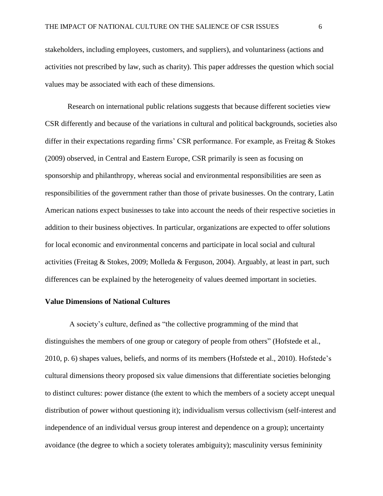stakeholders, including employees, customers, and suppliers), and voluntariness (actions and activities not prescribed by law, such as charity). This paper addresses the question which social values may be associated with each of these dimensions.

Research on international public relations suggests that because different societies view CSR differently and because of the variations in cultural and political backgrounds, societies also differ in their expectations regarding firms' CSR performance. For example, as Freitag & Stokes (2009) observed, in Central and Eastern Europe, CSR primarily is seen as focusing on sponsorship and philanthropy, whereas social and environmental responsibilities are seen as responsibilities of the government rather than those of private businesses. On the contrary, Latin American nations expect businesses to take into account the needs of their respective societies in addition to their business objectives. In particular, organizations are expected to offer solutions for local economic and environmental concerns and participate in local social and cultural activities (Freitag & Stokes, 2009; Molleda & Ferguson, 2004). Arguably, at least in part, such differences can be explained by the heterogeneity of values deemed important in societies.

#### **Value Dimensions of National Cultures**

A society's culture, defined as "the collective programming of the mind that distinguishes the members of one group or category of people from others" (Hofstede et al., 2010, p. 6) shapes values, beliefs, and norms of its members (Hofstede et al., 2010). Hofstede's cultural dimensions theory proposed six value dimensions that differentiate societies belonging to distinct cultures: power distance (the extent to which the members of a society accept unequal distribution of power without questioning it); individualism versus collectivism (self-interest and independence of an individual versus group interest and dependence on a group); uncertainty avoidance (the degree to which a society tolerates ambiguity); masculinity versus femininity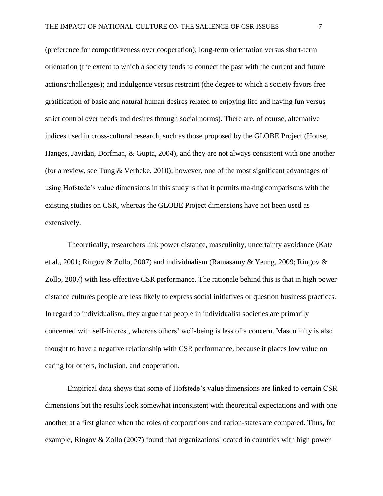(preference for competitiveness over cooperation); long-term orientation versus short-term orientation (the extent to which a society tends to connect the past with the current and future actions/challenges); and indulgence versus restraint (the degree to which a society favors free gratification of basic and natural human desires related to enjoying life and having fun versus strict control over needs and desires through social norms). There are, of course, alternative indices used in cross-cultural research, such as those proposed by the GLOBE Project (House, Hanges, Javidan, Dorfman, & Gupta, 2004), and they are not always consistent with one another (for a review, see Tung & Verbeke, 2010); however, one of the most significant advantages of using Hofstede's value dimensions in this study is that it permits making comparisons with the existing studies on CSR, whereas the GLOBE Project dimensions have not been used as extensively.

Theoretically, researchers link power distance, masculinity, uncertainty avoidance (Katz et al., 2001; Ringov & Zollo, 2007) and individualism (Ramasamy & Yeung, 2009; Ringov & Zollo, 2007) with less effective CSR performance. The rationale behind this is that in high power distance cultures people are less likely to express social initiatives or question business practices. In regard to individualism, they argue that people in individualist societies are primarily concerned with self-interest, whereas others' well-being is less of a concern. Masculinity is also thought to have a negative relationship with CSR performance, because it places low value on caring for others, inclusion, and cooperation.

Empirical data shows that some of Hofstede's value dimensions are linked to certain CSR dimensions but the results look somewhat inconsistent with theoretical expectations and with one another at a first glance when the roles of corporations and nation-states are compared. Thus, for example, Ringov & Zollo (2007) found that organizations located in countries with high power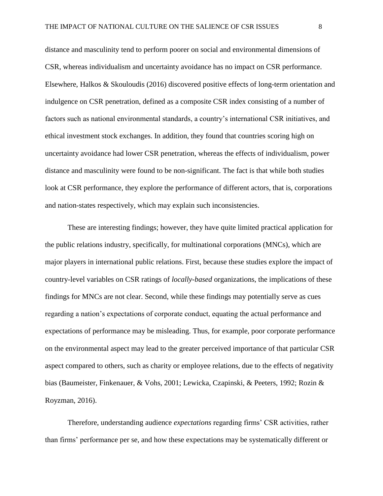distance and masculinity tend to perform poorer on social and environmental dimensions of CSR, whereas individualism and uncertainty avoidance has no impact on CSR performance. Elsewhere, Halkos & Skouloudis (2016) discovered positive effects of long-term orientation and indulgence on CSR penetration, defined as a composite CSR index consisting of a number of factors such as national environmental standards, a country's international CSR initiatives, and ethical investment stock exchanges. In addition, they found that countries scoring high on uncertainty avoidance had lower CSR penetration, whereas the effects of individualism, power distance and masculinity were found to be non-significant. The fact is that while both studies look at CSR performance, they explore the performance of different actors, that is, corporations and nation-states respectively, which may explain such inconsistencies.

These are interesting findings; however, they have quite limited practical application for the public relations industry, specifically, for multinational corporations (MNCs), which are major players in international public relations. First, because these studies explore the impact of country-level variables on CSR ratings of *locally-based* organizations, the implications of these findings for MNCs are not clear. Second, while these findings may potentially serve as cues regarding a nation's expectations of corporate conduct, equating the actual performance and expectations of performance may be misleading. Thus, for example, poor corporate performance on the environmental aspect may lead to the greater perceived importance of that particular CSR aspect compared to others, such as charity or employee relations, due to the effects of negativity bias (Baumeister, Finkenauer, & Vohs, 2001; Lewicka, Czapinski, & Peeters, 1992; Rozin & Royzman, 2016).

Therefore, understanding audience *expectations* regarding firms' CSR activities, rather than firms' performance per se, and how these expectations may be systematically different or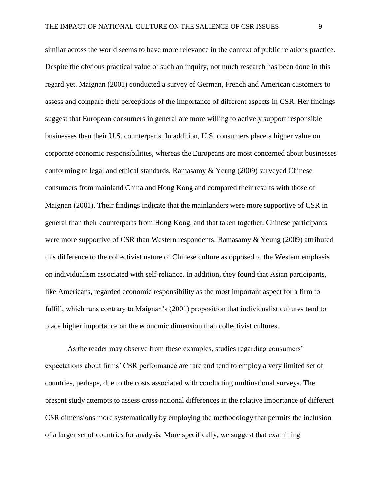similar across the world seems to have more relevance in the context of public relations practice. Despite the obvious practical value of such an inquiry, not much research has been done in this regard yet. Maignan (2001) conducted a survey of German, French and American customers to assess and compare their perceptions of the importance of different aspects in CSR. Her findings suggest that European consumers in general are more willing to actively support responsible businesses than their U.S. counterparts. In addition, U.S. consumers place a higher value on corporate economic responsibilities, whereas the Europeans are most concerned about businesses conforming to legal and ethical standards. Ramasamy & Yeung (2009) surveyed Chinese consumers from mainland China and Hong Kong and compared their results with those of Maignan (2001). Their findings indicate that the mainlanders were more supportive of CSR in general than their counterparts from Hong Kong, and that taken together, Chinese participants were more supportive of CSR than Western respondents. Ramasamy & Yeung (2009) attributed this difference to the collectivist nature of Chinese culture as opposed to the Western emphasis on individualism associated with self-reliance. In addition, they found that Asian participants, like Americans, regarded economic responsibility as the most important aspect for a firm to fulfill, which runs contrary to Maignan's (2001) proposition that individualist cultures tend to place higher importance on the economic dimension than collectivist cultures.

As the reader may observe from these examples, studies regarding consumers' expectations about firms' CSR performance are rare and tend to employ a very limited set of countries, perhaps, due to the costs associated with conducting multinational surveys. The present study attempts to assess cross-national differences in the relative importance of different CSR dimensions more systematically by employing the methodology that permits the inclusion of a larger set of countries for analysis. More specifically, we suggest that examining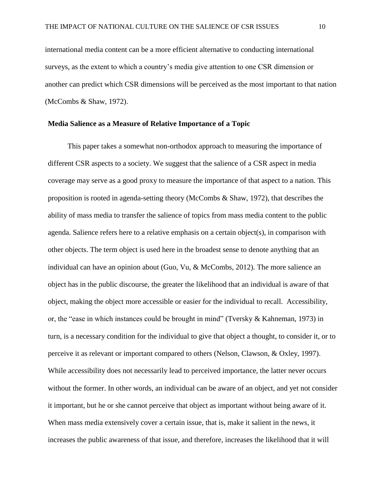international media content can be a more efficient alternative to conducting international surveys, as the extent to which a country's media give attention to one CSR dimension or another can predict which CSR dimensions will be perceived as the most important to that nation (McCombs & Shaw, 1972).

#### **Media Salience as a Measure of Relative Importance of a Topic**

This paper takes a somewhat non-orthodox approach to measuring the importance of different CSR aspects to a society. We suggest that the salience of a CSR aspect in media coverage may serve as a good proxy to measure the importance of that aspect to a nation. This proposition is rooted in agenda-setting theory (McCombs & Shaw, 1972), that describes the ability of mass media to transfer the salience of topics from mass media content to the public agenda. Salience refers here to a relative emphasis on a certain object(s), in comparison with other objects. The term object is used here in the broadest sense to denote anything that an individual can have an opinion about (Guo, Vu, & McCombs, 2012). The more salience an object has in the public discourse, the greater the likelihood that an individual is aware of that object, making the object more accessible or easier for the individual to recall. Accessibility, or, the "ease in which instances could be brought in mind" (Tversky & Kahneman, 1973) in turn, is a necessary condition for the individual to give that object a thought, to consider it, or to perceive it as relevant or important compared to others (Nelson, Clawson, & Oxley, 1997). While accessibility does not necessarily lead to perceived importance, the latter never occurs without the former. In other words, an individual can be aware of an object, and yet not consider it important, but he or she cannot perceive that object as important without being aware of it. When mass media extensively cover a certain issue, that is, make it salient in the news, it increases the public awareness of that issue, and therefore, increases the likelihood that it will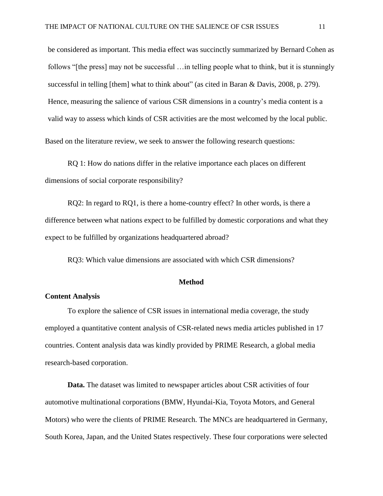be considered as important. This media effect was succinctly summarized by Bernard Cohen as follows "[the press] may not be successful …in telling people what to think, but it is stunningly successful in telling [them] what to think about" (as cited in Baran & Davis, 2008, p. 279). Hence, measuring the salience of various CSR dimensions in a country's media content is a valid way to assess which kinds of CSR activities are the most welcomed by the local public. Based on the literature review, we seek to answer the following research questions:

RQ 1: How do nations differ in the relative importance each places on different dimensions of social corporate responsibility?

RQ2: In regard to RQ1, is there a home-country effect? In other words, is there a difference between what nations expect to be fulfilled by domestic corporations and what they expect to be fulfilled by organizations headquartered abroad?

RQ3: Which value dimensions are associated with which CSR dimensions?

#### **Method**

## **Content Analysis**

To explore the salience of CSR issues in international media coverage, the study employed a quantitative content analysis of CSR-related news media articles published in 17 countries. Content analysis data was kindly provided by PRIME Research, a global media research-based corporation.

**Data.** The dataset was limited to newspaper articles about CSR activities of four automotive multinational corporations (BMW, Hyundai-Kia, Toyota Motors, and General Motors) who were the clients of PRIME Research. The MNCs are headquartered in Germany, South Korea, Japan, and the United States respectively. These four corporations were selected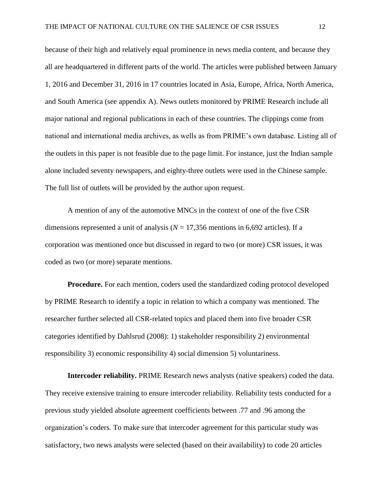because of their high and relatively equal prominence in news media content, and because they all are headquartered in different parts of the world. The articles were published between January 1, 2016 and December 31, 2016 in 17 countries located in Asia, Europe, Africa, North America, and South America (see appendix A). News outlets monitored by PRIME Research include all major national and regional publications in each of these countries. The clippings come from national and international media archives, as wells as from PRIME's own database. Listing all of the outlets in this paper is not feasible due to the page limit. For instance, just the Indian sample alone included seventy newspapers, and eighty-three outlets were used in the Chinese sample. The full list of outlets will be provided by the author upon request.

A mention of any of the automotive MNCs in the context of one of the five CSR dimensions represented a unit of analysis ( $N = 17,356$  mentions in 6,692 articles). If a corporation was mentioned once but discussed in regard to two (or more) CSR issues, it was coded as two (or more) separate mentions.

**Procedure.** For each mention, coders used the standardized coding protocol developed by PRIME Research to identify a topic in relation to which a company was mentioned. The researcher further selected all CSR-related topics and placed them into five broader CSR categories identified by Dahlsrud (2008): 1) stakeholder responsibility 2) environmental responsibility 3) economic responsibility 4) social dimension 5) voluntariness.

**Intercoder reliability.** PRIME Research news analysts (native speakers) coded the data. They receive extensive training to ensure intercoder reliability. Reliability tests conducted for a previous study yielded absolute agreement coefficients between .77 and .96 among the organization's coders. To make sure that intercoder agreement for this particular study was satisfactory, two news analysts were selected (based on their availability) to code 20 articles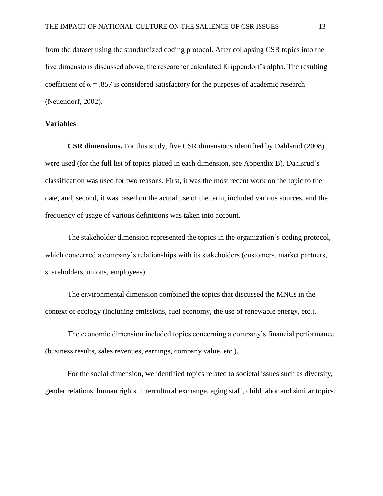from the dataset using the standardized coding protocol. After collapsing CSR topics into the five dimensions discussed above, the researcher calculated Krippendorf's alpha. The resulting coefficient of  $\alpha = .857$  is considered satisfactory for the purposes of academic research (Neuendorf, 2002).

#### **Variables**

**CSR dimensions.** For this study, five CSR dimensions identified by Dahlsrud (2008) were used (for the full list of topics placed in each dimension, see Appendix B). Dahlsrud's classification was used for two reasons. First, it was the most recent work on the topic to the date, and, second, it was based on the actual use of the term, included various sources, and the frequency of usage of various definitions was taken into account.

The stakeholder dimension represented the topics in the organization's coding protocol, which concerned a company's relationships with its stakeholders (customers, market partners, shareholders, unions, employees).

The environmental dimension combined the topics that discussed the MNCs in the context of ecology (including emissions, fuel economy, the use of renewable energy, etc.).

The economic dimension included topics concerning a company's financial performance (business results, sales revenues, earnings, company value, etc.).

For the social dimension, we identified topics related to societal issues such as diversity, gender relations, human rights, intercultural exchange, aging staff, child labor and similar topics.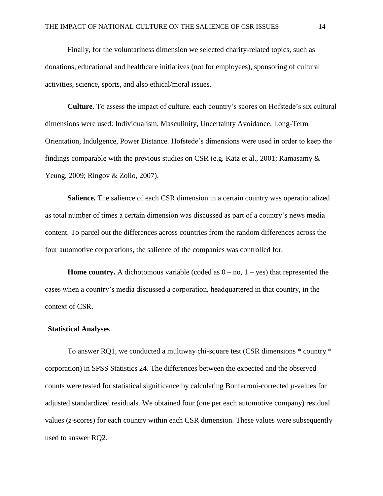Finally, for the voluntariness dimension we selected charity-related topics, such as donations, educational and healthcare initiatives (not for employees), sponsoring of cultural activities, science, sports, and also ethical/moral issues.

**Culture.** To assess the impact of culture, each country's scores on Hofstede's six cultural dimensions were used: Individualism, Masculinity, Uncertainty Avoidance, Long-Term Orientation, Indulgence, Power Distance. Hofstede's dimensions were used in order to keep the findings comparable with the previous studies on CSR (e.g. Katz et al., 2001; Ramasamy & Yeung, 2009; Ringov & Zollo, 2007).

**Salience.** The salience of each CSR dimension in a certain country was operationalized as total number of times a certain dimension was discussed as part of a country's news media content. To parcel out the differences across countries from the random differences across the four automotive corporations, the salience of the companies was controlled for.

**Home country.** A dichotomous variable (coded as  $0 - no$ ,  $1 - yes$ ) that represented the cases when a country's media discussed a corporation, headquartered in that country, in the context of CSR.

### **Statistical Analyses**

To answer RQ1, we conducted a multiway chi-square test (CSR dimensions \* country \* corporation) in SPSS Statistics 24. The differences between the expected and the observed counts were tested for statistical significance by calculating Bonferroni-corrected *p*-values for adjusted standardized residuals. We obtained four (one per each automotive company) residual values (*z*-scores) for each country within each CSR dimension. These values were subsequently used to answer RQ2.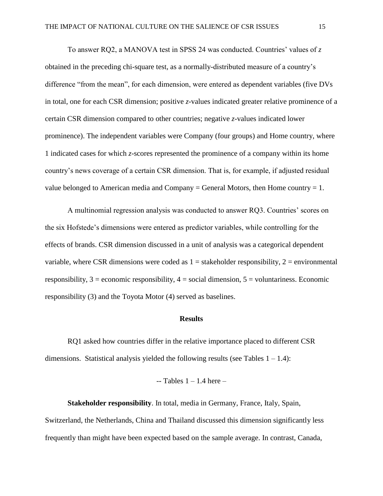To answer RQ2, a MANOVA test in SPSS 24 was conducted. Countries' values of *z*  obtained in the preceding chi-square test, as a normally-distributed measure of a country's difference "from the mean", for each dimension, were entered as dependent variables (five DVs in total, one for each CSR dimension; positive *z*-values indicated greater relative prominence of a certain CSR dimension compared to other countries; negative *z*-values indicated lower prominence). The independent variables were Company (four groups) and Home country, where 1 indicated cases for which *z*-scores represented the prominence of a company within its home country's news coverage of a certain CSR dimension. That is, for example, if adjusted residual value belonged to American media and Company = General Motors, then Home country = 1.

A multinomial regression analysis was conducted to answer RQ3. Countries' scores on the six Hofstede's dimensions were entered as predictor variables, while controlling for the effects of brands. CSR dimension discussed in a unit of analysis was a categorical dependent variable, where CSR dimensions were coded as  $1 =$  stakeholder responsibility,  $2 =$  environmental responsibility,  $3 =$  economic responsibility,  $4 =$  social dimension,  $5 =$  voluntariness. Economic responsibility (3) and the Toyota Motor (4) served as baselines.

#### **Results**

RQ1 asked how countries differ in the relative importance placed to different CSR dimensions. Statistical analysis yielded the following results (see Tables  $1 - 1.4$ ):

```
- Tables 1 - 1.4 here -
```
**Stakeholder responsibility**. In total, media in Germany, France, Italy, Spain, Switzerland, the Netherlands, China and Thailand discussed this dimension significantly less frequently than might have been expected based on the sample average. In contrast, Canada,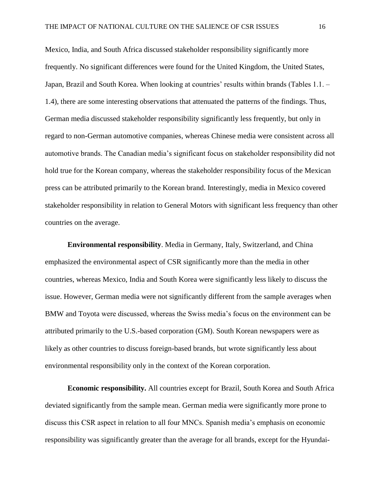Mexico, India, and South Africa discussed stakeholder responsibility significantly more frequently. No significant differences were found for the United Kingdom, the United States, Japan, Brazil and South Korea. When looking at countries' results within brands (Tables 1.1. – 1.4), there are some interesting observations that attenuated the patterns of the findings. Thus, German media discussed stakeholder responsibility significantly less frequently, but only in regard to non-German automotive companies, whereas Chinese media were consistent across all automotive brands. The Canadian media's significant focus on stakeholder responsibility did not hold true for the Korean company, whereas the stakeholder responsibility focus of the Mexican press can be attributed primarily to the Korean brand. Interestingly, media in Mexico covered stakeholder responsibility in relation to General Motors with significant less frequency than other countries on the average.

**Environmental responsibility**. Media in Germany, Italy, Switzerland, and China emphasized the environmental aspect of CSR significantly more than the media in other countries, whereas Mexico, India and South Korea were significantly less likely to discuss the issue. However, German media were not significantly different from the sample averages when BMW and Toyota were discussed, whereas the Swiss media's focus on the environment can be attributed primarily to the U.S.-based corporation (GM). South Korean newspapers were as likely as other countries to discuss foreign-based brands, but wrote significantly less about environmental responsibility only in the context of the Korean corporation.

**Economic responsibility.** All countries except for Brazil, South Korea and South Africa deviated significantly from the sample mean. German media were significantly more prone to discuss this CSR aspect in relation to all four MNCs. Spanish media's emphasis on economic responsibility was significantly greater than the average for all brands, except for the Hyundai-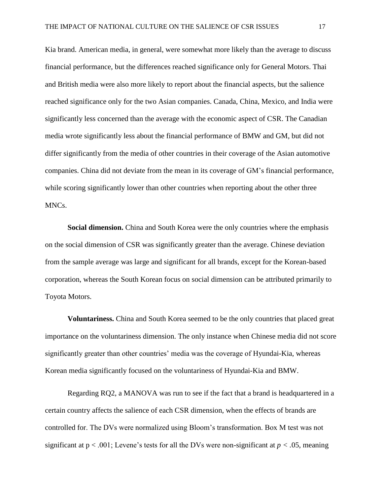Kia brand. American media, in general, were somewhat more likely than the average to discuss financial performance, but the differences reached significance only for General Motors. Thai and British media were also more likely to report about the financial aspects, but the salience reached significance only for the two Asian companies. Canada, China, Mexico, and India were significantly less concerned than the average with the economic aspect of CSR. The Canadian media wrote significantly less about the financial performance of BMW and GM, but did not differ significantly from the media of other countries in their coverage of the Asian automotive companies. China did not deviate from the mean in its coverage of GM's financial performance, while scoring significantly lower than other countries when reporting about the other three MNCs.

**Social dimension.** China and South Korea were the only countries where the emphasis on the social dimension of CSR was significantly greater than the average. Chinese deviation from the sample average was large and significant for all brands, except for the Korean-based corporation, whereas the South Korean focus on social dimension can be attributed primarily to Toyota Motors.

**Voluntariness.** China and South Korea seemed to be the only countries that placed great importance on the voluntariness dimension. The only instance when Chinese media did not score significantly greater than other countries' media was the coverage of Hyundai-Kia, whereas Korean media significantly focused on the voluntariness of Hyundai-Kia and BMW.

Regarding RQ2, a MANOVA was run to see if the fact that a brand is headquartered in a certain country affects the salience of each CSR dimension, when the effects of brands are controlled for. The DVs were normalized using Bloom's transformation. Box M test was not significant at p < .001; Levene's tests for all the DVs were non-significant at *p < .*05, meaning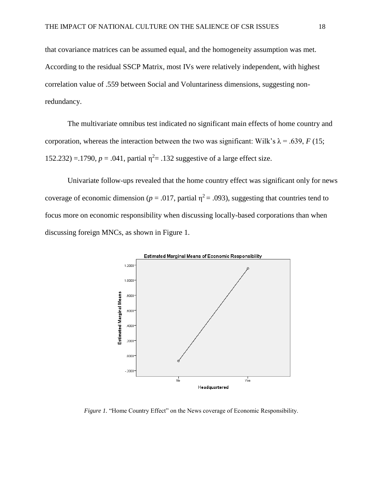that covariance matrices can be assumed equal, and the homogeneity assumption was met. According to the residual SSCP Matrix, most IVs were relatively independent, with highest correlation value of .559 between Social and Voluntariness dimensions, suggesting nonredundancy.

The multivariate omnibus test indicated no significant main effects of home country and corporation, whereas the interaction between the two was significant: Wilk's  $\lambda$  = .639, *F* (15; 152.232) = .1790,  $p = .041$ , partial  $\eta^2 = .132$  suggestive of a large effect size.

Univariate follow-ups revealed that the home country effect was significant only for news coverage of economic dimension ( $p = .017$ , partial  $\eta^2 = .093$ ), suggesting that countries tend to focus more on economic responsibility when discussing locally-based corporations than when discussing foreign MNCs, as shown in Figure 1.



*Figure 1.* "Home Country Effect" on the News coverage of Economic Responsibility.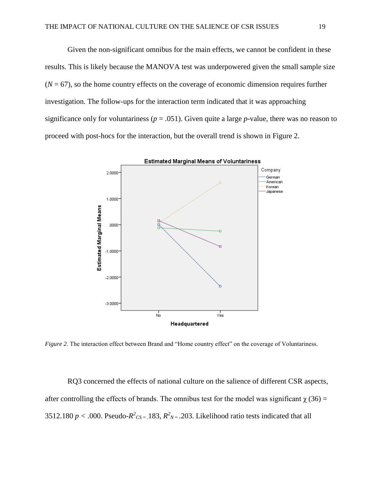Given the non-significant omnibus for the main effects, we cannot be confident in these results. This is likely because the MANOVA test was underpowered given the small sample size  $(N = 67)$ , so the home country effects on the coverage of economic dimension requires further investigation. The follow-ups for the interaction term indicated that it was approaching significance only for voluntariness ( $p = .051$ ). Given quite a large  $p$ -value, there was no reason to proceed with post-hocs for the interaction, but the overall trend is shown in Figure 2.



*Figure 2.* The interaction effect between Brand and "Home country effect" on the coverage of Voluntariness.

RQ3 concerned the effects of national culture on the salience of different CSR aspects, after controlling the effects of brands. The omnibus test for the model was significant  $\chi$  (36) = 3512.180  $p < .000$ . Pseudo- $R^2$ <sub>CS</sub> = 183,  $R^2$ <sub>N</sub> = .203. Likelihood ratio tests indicated that all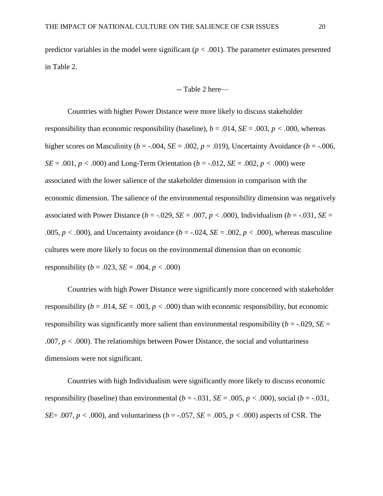predictor variables in the model were significant (*p < .*001). The parameter estimates presented in Table 2.

-- Table 2 here—

Countries with higher Power Distance were more likely to discuss stakeholder responsibility than economic responsibility (baseline),  $b = .014$ ,  $SE = .003$ ,  $p < .000$ , whereas higher scores on Masculinity ( $b = -0.004$ ,  $SE = 0.002$ ,  $p = 0.019$ ), Uncertainty Avoidance ( $b = -0.006$ , *SE* = .001, *p* < .000) and Long-Term Orientation (*b* = -.012, *SE* = .002, *p* < .000) were associated with the lower salience of the stakeholder dimension in comparison with the economic dimension. The salience of the environmental responsibility dimension was negatively associated with Power Distance ( $b = -.029$ ,  $SE = .007$ ,  $p < .000$ ), Individualism ( $b = -.031$ ,  $SE =$ .005,  $p < .000$ , and Uncertainty avoidance ( $b = .024$ ,  $SE = .002$ ,  $p < .000$ ), whereas masculine cultures were more likely to focus on the environmental dimension than on economic responsibility ( $b = .023$ ,  $SE = .004$ ,  $p < .000$ )

Countries with high Power Distance were significantly more concerned with stakeholder responsibility ( $b = .014$ ,  $SE = .003$ ,  $p < .000$ ) than with economic responsibility, but economic responsibility was significantly more salient than environmental responsibility ( $b = -0.029$ , *SE* = .007, *p < .*000). The relationships between Power Distance, the social and voluntariness dimensions were not significant.

Countries with high Individualism were significantly more likely to discuss economic responsibility (baseline) than environmental  $(b = -0.031, SE = .005, p < .000)$ , social  $(b = -0.031,$ *SE*= .007,  $p < .000$ , and voluntariness ( $b = .057$ , *SE* = .005,  $p < .000$ ) aspects of CSR. The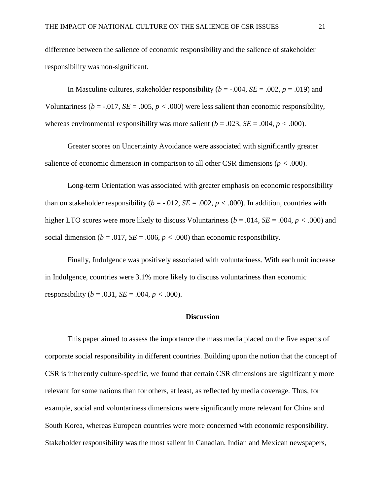difference between the salience of economic responsibility and the salience of stakeholder responsibility was non-significant.

In Masculine cultures, stakeholder responsibility ( $b = -0.004$ ,  $SE = 0.002$ ,  $p = 0.019$ ) and Voluntariness ( $b = -0.017$ ,  $SE = .005$ ,  $p < .000$ ) were less salient than economic responsibility, whereas environmental responsibility was more salient  $(b = .023, SE = .004, p < .000)$ .

Greater scores on Uncertainty Avoidance were associated with significantly greater salience of economic dimension in comparison to all other CSR dimensions (*p < .*000).

Long-term Orientation was associated with greater emphasis on economic responsibility than on stakeholder responsibility ( $b = -0.012$ ,  $SE = 0.002$ ,  $p < 0.000$ ). In addition, countries with higher LTO scores were more likely to discuss Voluntariness (*b* = .014, *SE* = .004, *p < .*000) and social dimension ( $b = .017$ ,  $SE = .006$ ,  $p < .000$ ) than economic responsibility.

Finally, Indulgence was positively associated with voluntariness. With each unit increase in Indulgence, countries were 3.1% more likely to discuss voluntariness than economic responsibility ( $b = .031$ ,  $SE = .004$ ,  $p < .000$ ).

#### **Discussion**

This paper aimed to assess the importance the mass media placed on the five aspects of corporate social responsibility in different countries. Building upon the notion that the concept of CSR is inherently culture-specific, we found that certain CSR dimensions are significantly more relevant for some nations than for others, at least, as reflected by media coverage. Thus, for example, social and voluntariness dimensions were significantly more relevant for China and South Korea, whereas European countries were more concerned with economic responsibility. Stakeholder responsibility was the most salient in Canadian, Indian and Mexican newspapers,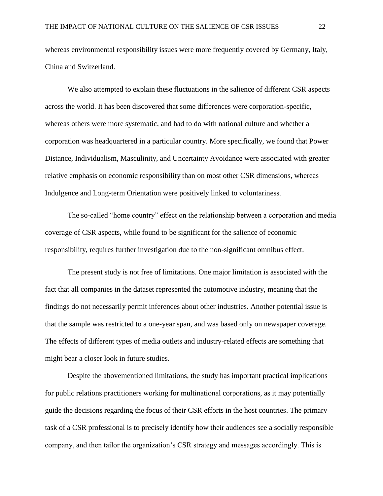whereas environmental responsibility issues were more frequently covered by Germany, Italy, China and Switzerland.

We also attempted to explain these fluctuations in the salience of different CSR aspects across the world. It has been discovered that some differences were corporation-specific, whereas others were more systematic, and had to do with national culture and whether a corporation was headquartered in a particular country. More specifically, we found that Power Distance, Individualism, Masculinity, and Uncertainty Avoidance were associated with greater relative emphasis on economic responsibility than on most other CSR dimensions, whereas Indulgence and Long-term Orientation were positively linked to voluntariness.

The so-called "home country" effect on the relationship between a corporation and media coverage of CSR aspects, while found to be significant for the salience of economic responsibility, requires further investigation due to the non-significant omnibus effect.

The present study is not free of limitations. One major limitation is associated with the fact that all companies in the dataset represented the automotive industry, meaning that the findings do not necessarily permit inferences about other industries. Another potential issue is that the sample was restricted to a one-year span, and was based only on newspaper coverage. The effects of different types of media outlets and industry-related effects are something that might bear a closer look in future studies.

Despite the abovementioned limitations, the study has important practical implications for public relations practitioners working for multinational corporations, as it may potentially guide the decisions regarding the focus of their CSR efforts in the host countries. The primary task of a CSR professional is to precisely identify how their audiences see a socially responsible company, and then tailor the organization's CSR strategy and messages accordingly. This is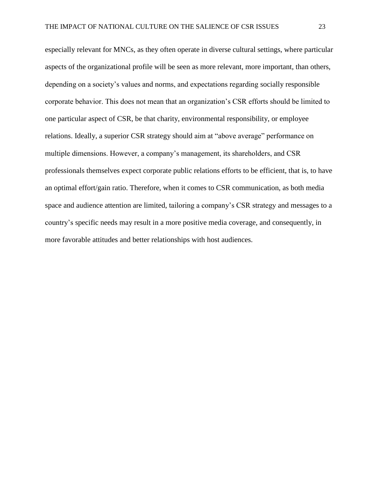especially relevant for MNCs, as they often operate in diverse cultural settings, where particular aspects of the organizational profile will be seen as more relevant, more important, than others, depending on a society's values and norms, and expectations regarding socially responsible corporate behavior. This does not mean that an organization's CSR efforts should be limited to one particular aspect of CSR, be that charity, environmental responsibility, or employee relations. Ideally, a superior CSR strategy should aim at "above average" performance on multiple dimensions. However, a company's management, its shareholders, and CSR professionals themselves expect corporate public relations efforts to be efficient, that is, to have an optimal effort/gain ratio. Therefore, when it comes to CSR communication, as both media space and audience attention are limited, tailoring a company's CSR strategy and messages to a country's specific needs may result in a more positive media coverage, and consequently, in more favorable attitudes and better relationships with host audiences.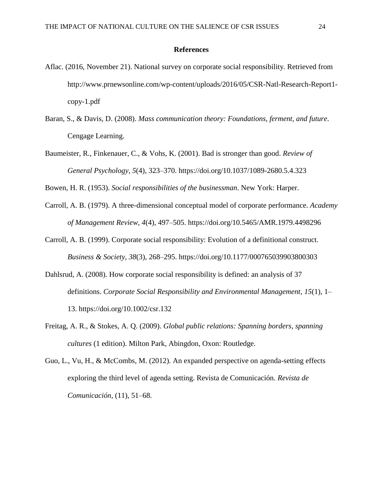#### **References**

- Aflac. (2016, November 21). National survey on corporate social responsibility. Retrieved from http://www.prnewsonline.com/wp-content/uploads/2016/05/CSR-Natl-Research-Report1 copy-1.pdf
- Baran, S., & Davis, D. (2008). *Mass communication theory: Foundations, ferment, and future*. Cengage Learning.
- Baumeister, R., Finkenauer, C., & Vohs, K. (2001). Bad is stronger than good. *Review of General Psychology*, *5*(4), 323–370. https://doi.org/10.1037/1089-2680.5.4.323

Bowen, H. R. (1953). *Social responsibilities of the businessman*. New York: Harper.

- Carroll, A. B. (1979). A three-dimensional conceptual model of corporate performance. *Academy of Management Review*, *4*(4), 497–505. https://doi.org/10.5465/AMR.1979.4498296
- Carroll, A. B. (1999). Corporate social responsibility: Evolution of a definitional construct. *Business & Society*, *38*(3), 268–295. https://doi.org/10.1177/000765039903800303
- Dahlsrud, A. (2008). How corporate social responsibility is defined: an analysis of 37 definitions. *Corporate Social Responsibility and Environmental Management*, *15*(1), 1– 13. https://doi.org/10.1002/csr.132
- Freitag, A. R., & Stokes, A. Q. (2009). *Global public relations: Spanning borders, spanning cultures* (1 edition). Milton Park, Abingdon, Oxon: Routledge.
- Guo, L., Vu, H., & McCombs, M. (2012). An expanded perspective on agenda-setting effects exploring the third level of agenda setting. Revista de Comunicación. *Revista de Comunicación*, (11), 51–68.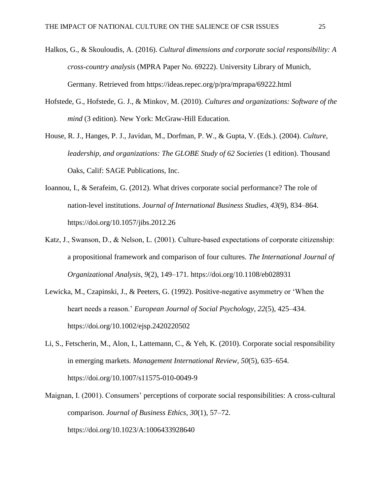- Halkos, G., & Skouloudis, A. (2016). *Cultural dimensions and corporate social responsibility: A cross-country analysis* (MPRA Paper No. 69222). University Library of Munich, Germany. Retrieved from https://ideas.repec.org/p/pra/mprapa/69222.html
- Hofstede, G., Hofstede, G. J., & Minkov, M. (2010). *Cultures and organizations: Software of the mind* (3 edition). New York: McGraw-Hill Education.
- House, R. J., Hanges, P. J., Javidan, M., Dorfman, P. W., & Gupta, V. (Eds.). (2004). *Culture, leadership, and organizations: The GLOBE Study of 62 Societies* (1 edition). Thousand Oaks, Calif: SAGE Publications, Inc.
- Ioannou, I., & Serafeim, G. (2012). What drives corporate social performance? The role of nation-level institutions. *Journal of International Business Studies*, *43*(9), 834–864. https://doi.org/10.1057/jibs.2012.26
- Katz, J., Swanson, D., & Nelson, L. (2001). Culture-based expectations of corporate citizenship: a propositional framework and comparison of four cultures. *The International Journal of Organizational Analysis*, *9*(2), 149–171. https://doi.org/10.1108/eb028931
- Lewicka, M., Czapinski, J., & Peeters, G. (1992). Positive-negative asymmetry or 'When the heart needs a reason.' *European Journal of Social Psychology*, *22*(5), 425–434. https://doi.org/10.1002/ejsp.2420220502
- Li, S., Fetscherin, M., Alon, I., Lattemann, C., & Yeh, K. (2010). Corporate social responsibility in emerging markets. *Management International Review*, *50*(5), 635–654. https://doi.org/10.1007/s11575-010-0049-9
- Maignan, I. (2001). Consumers' perceptions of corporate social responsibilities: A cross-cultural comparison. *Journal of Business Ethics*, *30*(1), 57–72. https://doi.org/10.1023/A:1006433928640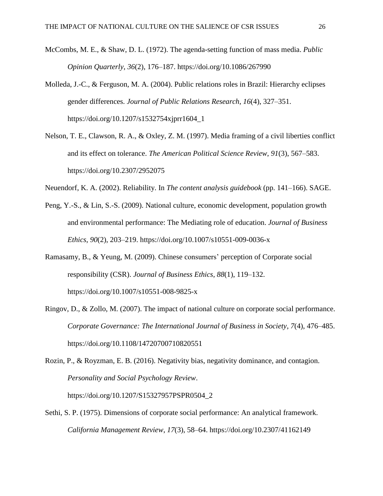- McCombs, M. E., & Shaw, D. L. (1972). The agenda-setting function of mass media. *Public Opinion Quarterly*, *36*(2), 176–187. https://doi.org/10.1086/267990
- Molleda, J.-C., & Ferguson, M. A. (2004). Public relations roles in Brazil: Hierarchy eclipses gender differences. *Journal of Public Relations Research*, *16*(4), 327–351. https://doi.org/10.1207/s1532754xjprr1604\_1
- Nelson, T. E., Clawson, R. A., & Oxley, Z. M. (1997). Media framing of a civil liberties conflict and its effect on tolerance. *The American Political Science Review*, *91*(3), 567–583. https://doi.org/10.2307/2952075
- Neuendorf, K. A. (2002). Reliability. In *The content analysis guidebook* (pp. 141–166). SAGE.
- Peng, Y.-S., & Lin, S.-S. (2009). National culture, economic development, population growth and environmental performance: The Mediating role of education. *Journal of Business Ethics*, *90*(2), 203–219. https://doi.org/10.1007/s10551-009-0036-x
- Ramasamy, B., & Yeung, M. (2009). Chinese consumers' perception of Corporate social responsibility (CSR). *Journal of Business Ethics*, *88*(1), 119–132. https://doi.org/10.1007/s10551-008-9825-x
- Ringov, D., & Zollo, M. (2007). The impact of national culture on corporate social performance. *Corporate Governance: The International Journal of Business in Society*, *7*(4), 476–485. https://doi.org/10.1108/14720700710820551
- Rozin, P., & Royzman, E. B. (2016). Negativity bias, negativity dominance, and contagion. *Personality and Social Psychology Review*.

Sethi, S. P. (1975). Dimensions of corporate social performance: An analytical framework.

https://doi.org/10.1207/S15327957PSPR0504\_2

*California Management Review*, *17*(3), 58–64. https://doi.org/10.2307/41162149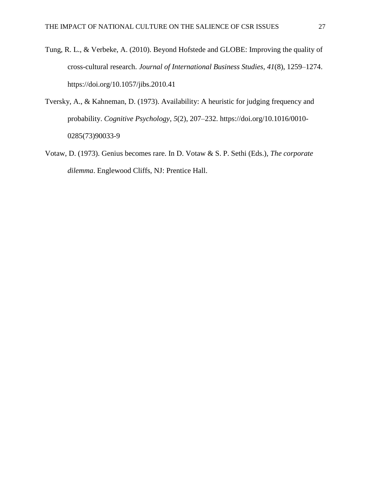- Tung, R. L., & Verbeke, A. (2010). Beyond Hofstede and GLOBE: Improving the quality of cross-cultural research. *Journal of International Business Studies*, *41*(8), 1259–1274. https://doi.org/10.1057/jibs.2010.41
- Tversky, A., & Kahneman, D. (1973). Availability: A heuristic for judging frequency and probability. *Cognitive Psychology*, *5*(2), 207–232. https://doi.org/10.1016/0010- 0285(73)90033-9
- Votaw, D. (1973). Genius becomes rare. In D. Votaw & S. P. Sethi (Eds.), *The corporate dilemma*. Englewood Cliffs, NJ: Prentice Hall.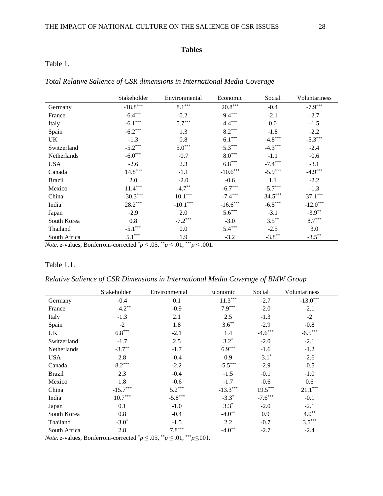## **Tables**

# Table 1.

|  |  |  | Total Relative Salience of CSR dimensions in International Media Coverage |  |
|--|--|--|---------------------------------------------------------------------------|--|
|  |  |  |                                                                           |  |

|               | Stakeholder | Environmental | Economic   | Social    | Voluntariness |
|---------------|-------------|---------------|------------|-----------|---------------|
| Germany       | $-18.8***$  | $8.1***$      | $20.8***$  | $-0.4$    | $-7.9***$     |
| France        | $-6.4***$   | 0.2           | $9.4***$   | $-2.1$    | $-2.7$        |
| Italy         | $-6.1***$   | $5.7***$      | $4.4***$   | 0.0       | $-1.5$        |
| Spain         | $-6.2***$   | 1.3           | $8.2***$   | $-1.8$    | $-2.2$        |
| UK            | $-1.3$      | 0.8           | $6.1***$   | $-4.8***$ | $-5.3***$     |
| Switzerland   | $-5.2***$   | $5.0***$      | $5.3***$   | $-4.3***$ | $-2.4$        |
| Netherlands   | $-6.0***$   | $-0.7$        | $8.0***$   | $-1.1$    | $-0.6$        |
| <b>USA</b>    | $-2.6$      | 2.3           | $6.8***$   | $-7.4***$ | $-3.1$        |
| Canada        | $14.8***$   | $-1.1$        | $-10.6***$ | $-5.9***$ | $-4.9***$     |
| <b>Brazil</b> | 2.0         | $-2.0$        | $-0.6$     | 1.1       | $-2.2$        |
| Mexico        | $11.4***$   | $-4.7**$      | $-6.7***$  | $-5.7***$ | $-1.3$        |
| China         | $-30.3***$  | $10.1***$     | $-7.4***$  | $34.5***$ | $37.1***$     |
| India         | $28.2***$   | $-10.1***$    | $-16.6***$ | $-6.5***$ | $-12.0***$    |
| Japan         | $-2.9$      | 2.0           | $5.6***$   | $-3.1$    | $-3.9**$      |
| South Korea   | 0.8         | $-7.2***$     | $-3.0$     | $3.5***$  | $8.7***$      |
| Thailand      | $-5.1***$   | 0.0           | $5.4***$   | $-2.5$    | 3.0           |
| South Africa  | $5.1***$    | 1.9           | $-3.2$     | $-3.8**$  | $-3.5***$     |

*Note.* z-values, Bonferroni-corrected  $p \le 0.05$ ,  $p \le 0.01$ ,  $p \le 0.001$ .

### Table 1.1.

## *Relative Salience of CSR Dimensions in International Media Coverage of BMW Group*

|               | Stakeholder | Environmental | Economic   | Social              | Voluntariness         |
|---------------|-------------|---------------|------------|---------------------|-----------------------|
| Germany       | $-0.4$      | 0.1           | $11.3***$  | $-2.7$              | $-13.0***$            |
| France        | $-4.2**$    | $-0.9$        | $7.9***$   | $-2.0$              | $-2.1$                |
| Italy         | $-1.3$      | 2.1           | 2.5        | $-1.3$              | $-2$                  |
| Spain         | $-2$        | 1.8           | $3.6***$   | $-2.9$              | $-0.8$                |
| UK            | $6.8***$    | $-2.1$        | 1.4        | $-4.6***$           | $-6.5***$             |
| Switzerland   | $-1.7$      | 2.5           | $3.2*$     | $-2.0$              | $-2.1$                |
| Netherlands   | $-3.7**$    | $-1.7$        | $6.9***$   | $-1.6$              | $-1.2$                |
| <b>USA</b>    | 2.8         | $-0.4$        | 0.9        | $-3.1$ <sup>*</sup> | $-2.6$                |
| Canada        | $8.2***$    | $-2.2$        | $-5.5***$  | $-2.9$              | $-0.5$                |
| <b>Brazil</b> | 2.3         | $-0.4$        | $-1.5$     | $-0.1$              | $-1.0$                |
| Mexico        | 1.8         | $-0.6$        | $-1.7$     | $-0.6$              | 0.6                   |
| China         | $-15.7***$  | $5.2***$      | $-13.3***$ | $19.5***$           | $21.1^{\ast\ast\ast}$ |
| India         | $10.7***$   | $-5.8***$     | $-3.3*$    | $-7.6***$           | $-0.1$                |
| Japan         | 0.1         | $-1.0$        | $3.3*$     | $-2.0$              | $-2.1$                |
| South Korea   | 0.8         | $-0.4$        | $-4.0**$   | 0.9                 | $4.0**$               |
| Thailand      | $-3.0*$     | $-1.5$        | 2.2        | $-0.7$              | $3.5***$              |
| South Africa  | 2.8         | $7.8***$      | $-4.0**$   | $-2.7$              | $-2.4$                |

*Note. z*-values, Bonferroni-corrected  $^*p \leq .05$ ,  $^{**}p \leq .01$ ,  $^{***}p \leq .001$ .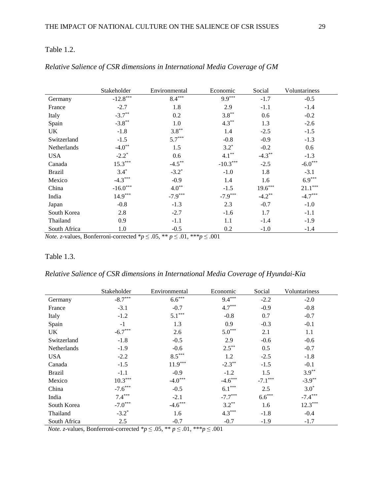## Table 1.2.

|               | Stakeholder | Environmental       | Economic   | Social    | Voluntariness |
|---------------|-------------|---------------------|------------|-----------|---------------|
| Germany       | $-12.8***$  | $8.4***$            | $9.9***$   | $-1.7$    | $-0.5$        |
| France        | $-2.7$      | 1.8                 | 2.9        | $-1.1$    | $-1.4$        |
| Italy         | $-3.7**$    | 0.2                 | $3.8***$   | 0.6       | $-0.2$        |
| Spain         | $-3.8**$    | 1.0                 | $4.3***$   | 1.3       | $-2.6$        |
| UK            | $-1.8$      | $3.8***$            | 1.4        | $-2.5$    | $-1.5$        |
| Switzerland   | $-1.5$      | $5.7***$            | $-0.8$     | $-0.9$    | $-1.3$        |
| Netherlands   | $-4.0**$    | 1.5                 | $3.2*$     | $-0.2$    | 0.6           |
| <b>USA</b>    | $-2.2^*$    | 0.6                 | $4.1***$   | $-4.3***$ | $-1.3$        |
| Canada        | $15.3***$   | $-4.5***$           | $-10.3***$ | $-2.5$    | $-6.0***$     |
| <b>Brazil</b> | $3.4*$      | $-3.2$ <sup>*</sup> | $-1.0$     | 1.8       | $-3.1$        |
| Mexico        | $-4.3***$   | $-0.9$              | 1.4        | 1.6       | $6.9***$      |
| China         | $-16.0***$  | $4.0**$             | $-1.5$     | $19.6***$ | $21.1***$     |
| India         | $14.9***$   | $-7.9***$           | $-7.9***$  | $-4.2**$  | $-4.7***$     |
| Japan         | $-0.8$      | $-1.3$              | 2.3        | $-0.7$    | $-1.0$        |
| South Korea   | 2.8         | $-2.7$              | $-1.6$     | 1.7       | $-1.1$        |
| Thailand      | 0.9         | $-1.1$              | 1.1        | $-1.4$    | $-1.9$        |
| South Africa  | 1.0         | $-0.5$              | 0.2        | $-1.0$    | $-1.4$        |

## *Relative Salience of CSR dimensions in International Media Coverage of GM*

*Note. z*-values, Bonferroni-corrected \* $p \le 0.05$ , \*\* $p \le 0.01$ , \*\*\* $p \le 0.001$ 

## Table 1.3.

*Relative Salience of CSR dimensions in International Media Coverage of Hyundai-Kia*

|               | Stakeholder | Environmental | Economic  | Social    | Voluntariness |
|---------------|-------------|---------------|-----------|-----------|---------------|
| Germany       | $-8.7***$   | $6.6***$      | $9.4***$  | $-2.2$    | $-2.0$        |
| France        | $-3.1$      | $-0.7$        | $4.7***$  | $-0.9$    | $-0.8$        |
| Italy         | $-1.2$      | $5.1***$      | $-0.8$    | 0.7       | $-0.7$        |
| Spain         | $-1$        | 1.3           | 0.9       | $-0.3$    | $-0.1$        |
| UK            | $-6.7***$   | 2.6           | $5.0***$  | 2.1       | 1.1           |
| Switzerland   | $-1.8$      | $-0.5$        | 2.9       | $-0.6$    | $-0.6$        |
| Netherlands   | $-1.9$      | $-0.6$        | $2.5***$  | 0.5       | $-0.7$        |
| <b>USA</b>    | $-2.2$      | $8.5***$      | 1.2       | $-2.5$    | $-1.8$        |
| Canada        | $-1.5$      | $11.9***$     | $-2.3**$  | $-1.5$    | $-0.1$        |
| <b>Brazil</b> | $-1.1$      | $-0.9$        | $-1.2$    | 1.5       | $3.9***$      |
| Mexico        | $10.3***$   | $-4.0***$     | $-4.6***$ | $-7.1***$ | $-3.9**$      |
| China         | $-7.6***$   | $-0.5$        | $6.1***$  | 2.5       | $3.0*$        |
| India         | $7.4***$    | $-2.1$        | $-7.7***$ | $6.6***$  | $-7.4***$     |
| South Korea   | $-7.0***$   | $-4.6***$     | $3.2***$  | 1.6       | $12.3***$     |
| Thailand      | $-3.2*$     | 1.6           | $4.3***$  | $-1.8$    | $-0.4$        |
| South Africa  | 2.5         | $-0.7$        | $-0.7$    | $-1.9$    | $-1.7$        |

*Note. z*-values, Bonferroni-corrected \* $p \le 0.05$ , \*\* $p \le 0.01$ , \*\*\* $p \le 0.001$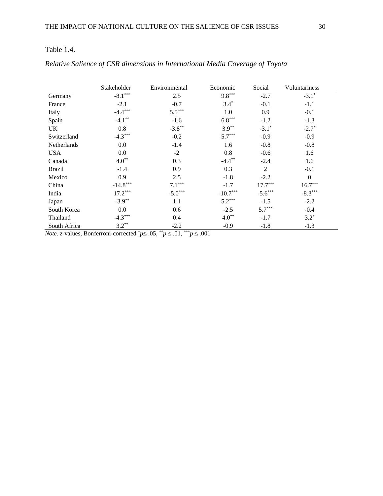|               | Stakeholder | Environmental | Economic   | Social         | Voluntariness |
|---------------|-------------|---------------|------------|----------------|---------------|
| Germany       | $-8.1***$   | 2.5           | $9.8***$   | $-2.7$         | $-3.1*$       |
| France        | $-2.1$      | $-0.7$        | $3.4*$     | $-0.1$         | $-1.1$        |
| Italy         | $-4.4***$   | $5.5***$      | 1.0        | 0.9            | $-0.1$        |
| Spain         | $-4.1***$   | $-1.6$        | $6.8***$   | $-1.2$         | $-1.3$        |
| UK            | 0.8         | $-3.8**$      | $3.9**$    | $-3.1*$        | $-2.7*$       |
| Switzerland   | $-4.3***$   | $-0.2$        | $5.7***$   | $-0.9$         | $-0.9$        |
| Netherlands   | 0.0         | $-1.4$        | 1.6        | $-0.8$         | $-0.8$        |
| <b>USA</b>    | 0.0         | $-2$          | 0.8        | $-0.6$         | 1.6           |
| Canada        | $4.0***$    | 0.3           | $-4.4***$  | $-2.4$         | 1.6           |
| <b>Brazil</b> | $-1.4$      | 0.9           | 0.3        | $\overline{2}$ | $-0.1$        |
| Mexico        | 0.9         | 2.5           | $-1.8$     | $-2.2$         | $\mathbf{0}$  |
| China         | $-14.8***$  | $7.1***$      | $-1.7$     | $17.7***$      | $16.7***$     |
| India         | $17.2***$   | $-5.0***$     | $-10.7***$ | $-5.6***$      | $-8.3***$     |
| Japan         | $-3.9**$    | 1.1           | $5.2***$   | $-1.5$         | $-2.2$        |
| South Korea   | 0.0         | 0.6           | $-2.5$     | $5.7***$       | $-0.4$        |
| Thailand      | $-4.3***$   | 0.4           | $4.0**$    | $-1.7$         | $3.2*$        |
| South Africa  | $3.2***$    | $-2.2$        | $-0.9$     | $-1.8$         | $-1.3$        |

# *Relative Salience of CSR dimensions in International Media Coverage of Toyota*

*Note. z*-values, Bonferroni-corrected  $p \leq .05$ ,  $p \leq .01$ ,  $p \leq .001$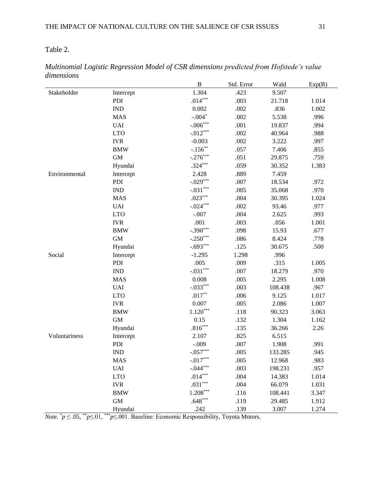Table 2.

|               |                             | $\, {\bf B}$ | Std. Error | Wald    | Exp(B) |
|---------------|-----------------------------|--------------|------------|---------|--------|
| Stakeholder   | Intercept                   | 1.304        | .423       | 9.507   |        |
|               | PDI                         | $.014***$    | .003       | 21.718  | 1.014  |
|               | <b>IND</b>                  | 0.002        | .002       | .836    | 1.002  |
|               | <b>MAS</b>                  | $-.004*$     | .002       | 5.538   | .996   |
|               | <b>UAI</b>                  | $-.006***$   | .001       | 19.837  | .994   |
|               | <b>LTO</b>                  | $-0.012***$  | .002       | 40.964  | .988   |
|               | <b>IVR</b>                  | $-0.003$     | .002       | 3.222   | .997   |
|               | <b>BMW</b>                  | $-.156***$   | .057       | 7.406   | .855   |
|               | <b>GM</b>                   | $-.276***$   | .051       | 29.875  | .759   |
|               | Hyundai                     | $.324***$    | .059       | 30.352  | 1.383  |
| Environmental | Intercept                   | 2.428        | .889       | 7.459   |        |
|               | PDI                         | $-.029***$   | .007       | 18.534  | .972   |
|               | $\mathop{\rm IND}\nolimits$ | $-.031***$   | .005       | 35.068  | .970   |
|               | <b>MAS</b>                  | $.023***$    | .004       | 30.395  | 1.024  |
|               | <b>UAI</b>                  | $-.024***$   | .002       | 93.46   | .977   |
|               | <b>LTO</b>                  | $-.007$      | .004       | 2.625   | .993   |
|               | <b>IVR</b>                  | .001         | .003       | .056    | 1.001  |
|               | <b>BMW</b>                  | $-.390***$   | .098       | 15.93   | .677   |
|               | $\,$ GM $\,$                | $-.250***$   | .086       | 8.424   | .778   |
|               | Hyundai                     | $-.693***$   | .125       | 30.675  | .500   |
| Social        | Intercept                   | $-1.295$     | 1.298      | .996    |        |
|               | PDI                         | .005         | .009       | .315    | 1.005  |
|               | $\mathop{\rm IND}\nolimits$ | $-.031***$   | .007       | 18.279  | .970   |
|               | <b>MAS</b>                  | 0.008        | .005       | 2.295   | 1.008  |
|               | <b>UAI</b>                  | $-.033***$   | .003       | 108.438 | .967   |
|               | <b>LTO</b>                  | $.017**$     | .006       | 9.125   | 1.017  |
|               | <b>IVR</b>                  | 0.007        | .005       | 2.086   | 1.007  |
|               | <b>BMW</b>                  | $1.120***$   | .118       | 90.323  | 3.063  |
|               | <b>GM</b>                   | 0.15         | .132       | 1.304   | 1.162  |
|               | Hyundai                     | $.816***$    | .135       | 36.266  | 2.26   |
| Voluntariness | Intercept                   | 2.107        | .825       | 6.515   |        |
|               | PDI                         | $-.009$      | .007       | 1.908   | .991   |
|               | $\mathop{\rm IND}\nolimits$ | $-.057***$   | .005       | 133.285 | .945   |
|               | <b>MAS</b>                  | $-.017***$   | .005       | 12.968  | .983   |
|               | $\ensuremath{\mathsf{UAI}}$ | $-.044***$   | .003       | 198.231 | .957   |
|               | <b>LTO</b>                  | $.014***$    | .004       | 14.383  | 1.014  |
|               | <b>IVR</b>                  | $.031***$    | .004       | 66.079  | 1.031  |
|               | <b>BMW</b>                  | $1.208***$   | .116       | 108.441 | 3.347  |
|               | $\mbox{GM}$                 | $.648***$    | .119       | 29.485  | 1.912  |
|               | Hyundai                     | .242         | .139       | 3.007   | 1.274  |

*Multinomial Logistic Regression Model of CSR dimensions predicted from Hofstede's value dimensions*

*Note.* \**p* ≤ .05, \*\**p*≤.01, \*\*\**p*≤.001. Baseline: Economic Responsibility, Toyota Motors.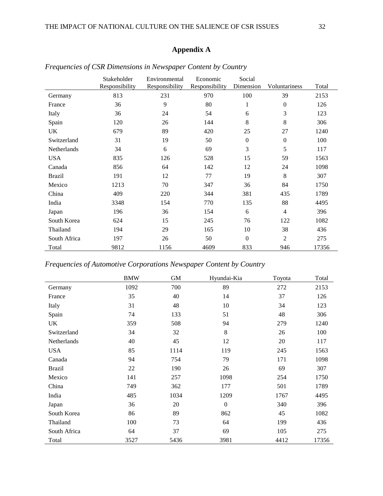# **Appendix A**

|               | Stakeholder<br>Responsibility | Environmental<br>Responsibility | Economic<br>Responsibility | Social<br>Dimension | Voluntariness  | Total |
|---------------|-------------------------------|---------------------------------|----------------------------|---------------------|----------------|-------|
| Germany       | 813                           | 231                             | 970                        | 100                 | 39             | 2153  |
| France        | 36                            | 9                               | 80                         | 1                   | $\Omega$       | 126   |
| Italy         | 36                            | 24                              | 54                         | 6                   | 3              | 123   |
| Spain         | 120                           | 26                              | 144                        | 8                   | 8              | 306   |
| UK            | 679                           | 89                              | 420                        | 25                  | 27             | 1240  |
| Switzerland   | 31                            | 19                              | 50                         | $\boldsymbol{0}$    | $\Omega$       | 100   |
| Netherlands   | 34                            | 6                               | 69                         | 3                   | 5              | 117   |
| <b>USA</b>    | 835                           | 126                             | 528                        | 15                  | 59             | 1563  |
| Canada        | 856                           | 64                              | 142                        | 12                  | 24             | 1098  |
| <b>Brazil</b> | 191                           | 12                              | 77                         | 19                  | 8              | 307   |
| Mexico        | 1213                          | 70                              | 347                        | 36                  | 84             | 1750  |
| China         | 409                           | 220                             | 344                        | 381                 | 435            | 1789  |
| India         | 3348                          | 154                             | 770                        | 135                 | 88             | 4495  |
| Japan         | 196                           | 36                              | 154                        | 6                   | $\overline{4}$ | 396   |
| South Korea   | 624                           | 15                              | 245                        | 76                  | 122            | 1082  |
| Thailand      | 194                           | 29                              | 165                        | 10                  | 38             | 436   |
| South Africa  | 197                           | 26                              | 50                         | $\boldsymbol{0}$    | $\overline{2}$ | 275   |
| Total         | 9812                          | 1156                            | 4609                       | 833                 | 946            | 17356 |

|  |  |  | Frequencies of CSR Dimensions in Newspaper Content by Country |
|--|--|--|---------------------------------------------------------------|
|--|--|--|---------------------------------------------------------------|

*Frequencies of Automotive Corporations Newspaper Content by Country*

|              | <b>BMW</b> | GM   | Hyundai-Kia      | Toyota | Total |
|--------------|------------|------|------------------|--------|-------|
| Germany      | 1092       | 700  | 89               | 272    | 2153  |
| France       | 35         | 40   | 14               | 37     | 126   |
| Italy        | 31         | 48   | 10               | 34     | 123   |
| Spain        | 74         | 133  | 51               | 48     | 306   |
| UK           | 359        | 508  | 94               | 279    | 1240  |
| Switzerland  | 34         | 32   | 8                | 26     | 100   |
| Netherlands  | 40         | 45   | 12               | 20     | 117   |
| USA          | 85         | 1114 | 119              | 245    | 1563  |
| Canada       | 94         | 754  | 79               | 171    | 1098  |
| Brazil       | 22         | 190  | 26               | 69     | 307   |
| Mexico       | 141        | 257  | 1098             | 254    | 1750  |
| China        | 749        | 362  | 177              | 501    | 1789  |
| India        | 485        | 1034 | 1209             | 1767   | 4495  |
| Japan        | 36         | 20   | $\boldsymbol{0}$ | 340    | 396   |
| South Korea  | 86         | 89   | 862              | 45     | 1082  |
| Thailand     | 100        | 73   | 64               | 199    | 436   |
| South Africa | 64         | 37   | 69               | 105    | 275   |
| Total        | 3527       | 5436 | 3981             | 4412   | 17356 |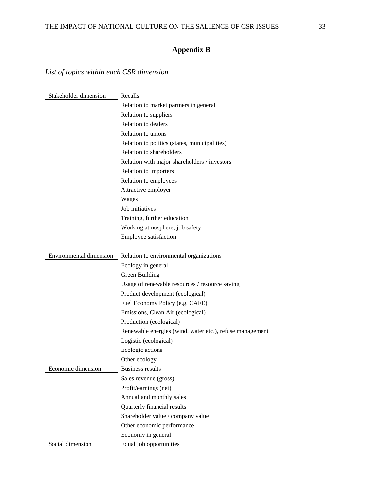# **Appendix B**

# *List of topics within each CSR dimension*

| Stakeholder dimension   | Recalls                                                  |
|-------------------------|----------------------------------------------------------|
|                         | Relation to market partners in general                   |
|                         | Relation to suppliers                                    |
|                         | <b>Relation to dealers</b>                               |
|                         | Relation to unions                                       |
|                         | Relation to politics (states, municipalities)            |
|                         | Relation to shareholders                                 |
|                         | Relation with major shareholders / investors             |
|                         | Relation to importers                                    |
|                         | Relation to employees                                    |
|                         | Attractive employer                                      |
|                         | Wages                                                    |
|                         | Job initiatives                                          |
|                         | Training, further education                              |
|                         | Working atmosphere, job safety                           |
|                         | <b>Employee satisfaction</b>                             |
| Environmental dimension | Relation to environmental organizations                  |
|                         | Ecology in general                                       |
|                         | Green Building                                           |
|                         | Usage of renewable resources / resource saving           |
|                         | Product development (ecological)                         |
|                         | Fuel Economy Policy (e.g. CAFE)                          |
|                         | Emissions, Clean Air (ecological)                        |
|                         | Production (ecological)                                  |
|                         | Renewable energies (wind, water etc.), refuse management |
|                         | Logistic (ecological)                                    |
|                         | Ecologic actions                                         |
|                         | Other ecology                                            |
| Economic dimension      | <b>Business results</b>                                  |
|                         | Sales revenue (gross)                                    |
|                         | Profit/earnings (net)                                    |
|                         | Annual and monthly sales                                 |
|                         | Quarterly financial results                              |
|                         | Shareholder value / company value                        |
|                         | Other economic performance                               |
|                         | Economy in general                                       |
| Social dimension        | Equal job opportunities                                  |